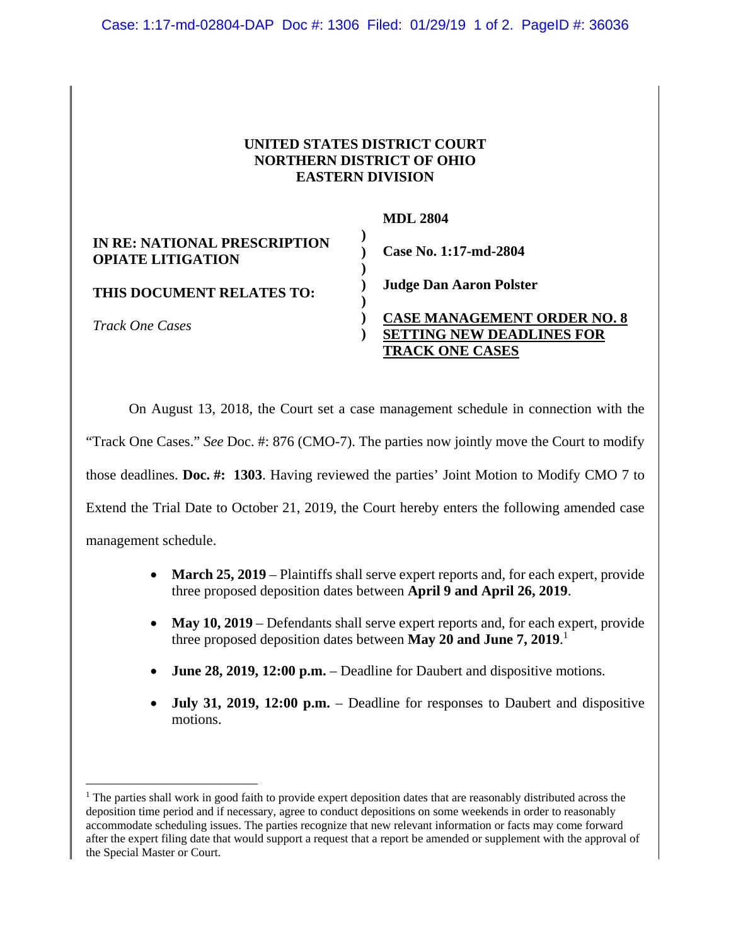## **UNITED STATES DISTRICT COURT NORTHERN DISTRICT OF OHIO EASTERN DIVISION**

|                                                          | <b>MDL 2804</b>                                                                                  |
|----------------------------------------------------------|--------------------------------------------------------------------------------------------------|
| IN RE: NATIONAL PRESCRIPTION<br><b>OPIATE LITIGATION</b> | Case No. 1:17-md-2804                                                                            |
| THIS DOCUMENT RELATES TO:                                | <b>Judge Dan Aaron Polster</b>                                                                   |
| <i>Track One Cases</i>                                   | <b>CASE MANAGEMENT ORDER NO. 8</b><br><b>SETTING NEW DEADLINES FOR</b><br><b>TRACK ONE CASES</b> |

On August 13, 2018, the Court set a case management schedule in connection with the "Track One Cases." *See* Doc. #: 876 (CMO-7). The parties now jointly move the Court to modify those deadlines. **Doc. #: 1303**. Having reviewed the parties' Joint Motion to Modify CMO 7 to Extend the Trial Date to October 21, 2019, the Court hereby enters the following amended case management schedule.

- March 25, 2019 Plaintiffs shall serve expert reports and, for each expert, provide three proposed deposition dates between **April 9 and April 26, 2019**.
- May 10, 2019 Defendants shall serve expert reports and, for each expert, provide three proposed deposition dates between **May 20 and June 7, 2019**. 1
- **June 28, 2019, 12:00 p.m.** Deadline for Daubert and dispositive motions.
- **July 31, 2019, 12:00 p.m.** Deadline for responses to Daubert and dispositive motions.

<u>.</u>

<sup>&</sup>lt;sup>1</sup> The parties shall work in good faith to provide expert deposition dates that are reasonably distributed across the deposition time period and if necessary, agree to conduct depositions on some weekends in order to reasonably accommodate scheduling issues. The parties recognize that new relevant information or facts may come forward after the expert filing date that would support a request that a report be amended or supplement with the approval of the Special Master or Court.